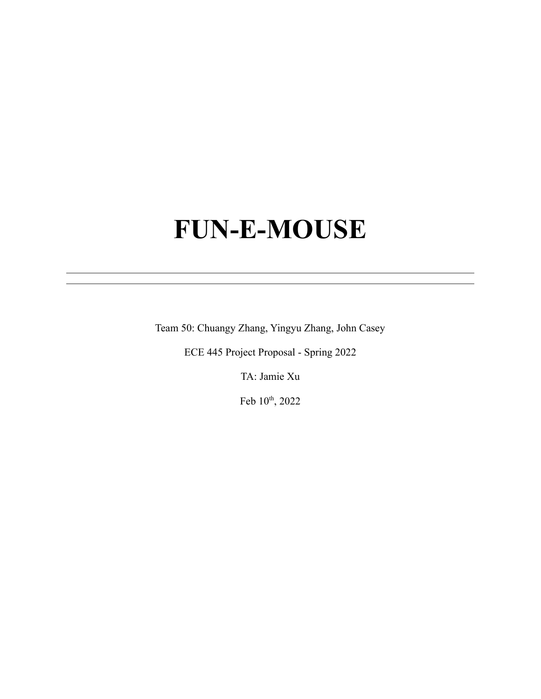# **FUN-E-MOUSE**

Team 50: Chuangy Zhang, Yingyu Zhang, John Casey

ECE 445 Project Proposal - Spring 2022

TA: Jamie Xu

Feb  $10<sup>th</sup>$ , 2022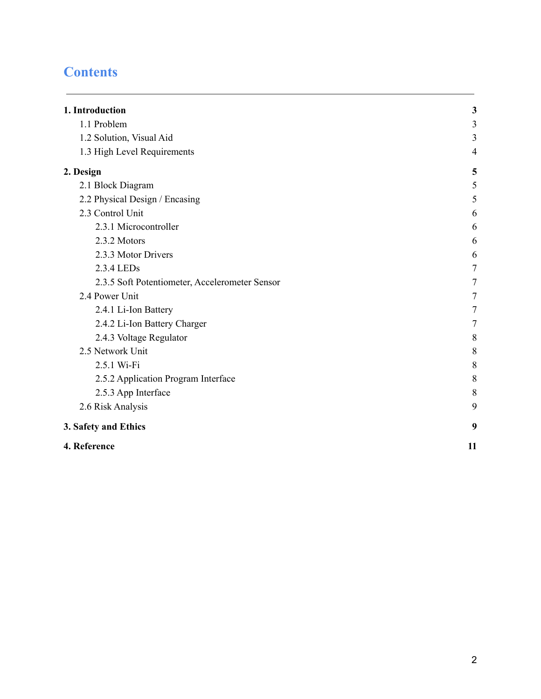# **Contents**

| 1. Introduction                                | $\mathbf{3}$ |
|------------------------------------------------|--------------|
| 1.1 Problem                                    | 3            |
| 1.2 Solution, Visual Aid                       | 3            |
| 1.3 High Level Requirements                    | 4            |
| 2. Design                                      | 5            |
| 2.1 Block Diagram                              | 5            |
| 2.2 Physical Design / Encasing                 | 5            |
| 2.3 Control Unit                               | 6            |
| 2.3.1 Microcontroller                          | 6            |
| 2.3.2 Motors                                   | 6            |
| 2.3.3 Motor Drivers                            | 6            |
| 2.3.4 LEDs                                     | $\tau$       |
| 2.3.5 Soft Potentiometer, Accelerometer Sensor | 7            |
| 2.4 Power Unit                                 | 7            |
| 2.4.1 Li-Ion Battery                           | $\tau$       |
| 2.4.2 Li-Ion Battery Charger                   | $\tau$       |
| 2.4.3 Voltage Regulator                        | 8            |
| 2.5 Network Unit                               | $\,$ $\,$    |
| 2.5.1 Wi-Fi                                    | $\,$ $\,$    |
| 2.5.2 Application Program Interface            | $\,8\,$      |
| 2.5.3 App Interface                            | 8            |
| 2.6 Risk Analysis                              | 9            |
| 3. Safety and Ethics                           | 9            |
| 4. Reference                                   | 11           |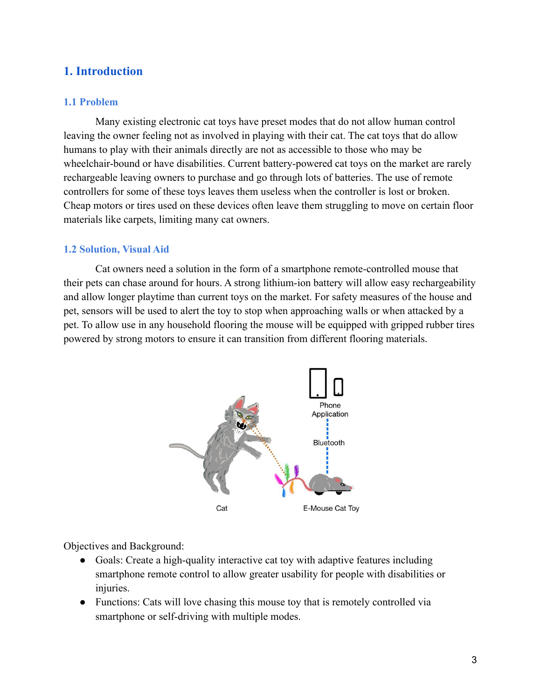# <span id="page-2-0"></span>**1. Introduction**

# <span id="page-2-1"></span>**1.1 Problem**

Many existing electronic cat toys have preset modes that do not allow human control leaving the owner feeling not as involved in playing with their cat. The cat toys that do allow humans to play with their animals directly are not as accessible to those who may be wheelchair-bound or have disabilities. Current battery-powered cat toys on the market are rarely rechargeable leaving owners to purchase and go through lots of batteries. The use of remote controllers for some of these toys leaves them useless when the controller is lost or broken. Cheap motors or tires used on these devices often leave them struggling to move on certain floor materials like carpets, limiting many cat owners.

# <span id="page-2-2"></span>**1.2 Solution, Visual Aid**

Cat owners need a solution in the form of a smartphone remote-controlled mouse that their pets can chase around for hours. A strong lithium-ion battery will allow easy rechargeability and allow longer playtime than current toys on the market. For safety measures of the house and pet, sensors will be used to alert the toy to stop when approaching walls or when attacked by a pet. To allow use in any household flooring the mouse will be equipped with gripped rubber tires powered by strong motors to ensure it can transition from different flooring materials.



Objectives and Background:

- Goals: Create a high-quality interactive cat toy with adaptive features including smartphone remote control to allow greater usability for people with disabilities or injuries.
- Functions: Cats will love chasing this mouse toy that is remotely controlled via smartphone or self-driving with multiple modes.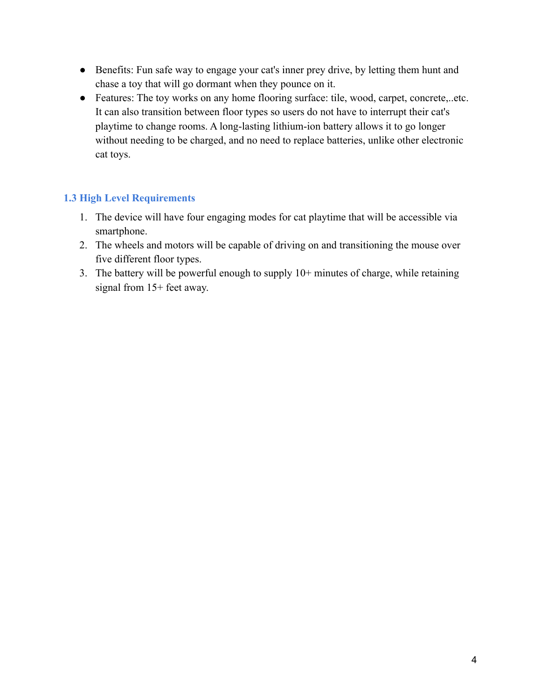- Benefits: Fun safe way to engage your cat's inner prey drive, by letting them hunt and chase a toy that will go dormant when they pounce on it.
- Features: The toy works on any home flooring surface: tile, wood, carpet, concrete,..etc. It can also transition between floor types so users do not have to interrupt their cat's playtime to change rooms. A long-lasting lithium-ion battery allows it to go longer without needing to be charged, and no need to replace batteries, unlike other electronic cat toys.

# <span id="page-3-0"></span>**1.3 High Level Requirements**

- 1. The device will have four engaging modes for cat playtime that will be accessible via smartphone.
- 2. The wheels and motors will be capable of driving on and transitioning the mouse over five different floor types.
- 3. The battery will be powerful enough to supply 10+ minutes of charge, while retaining signal from 15+ feet away.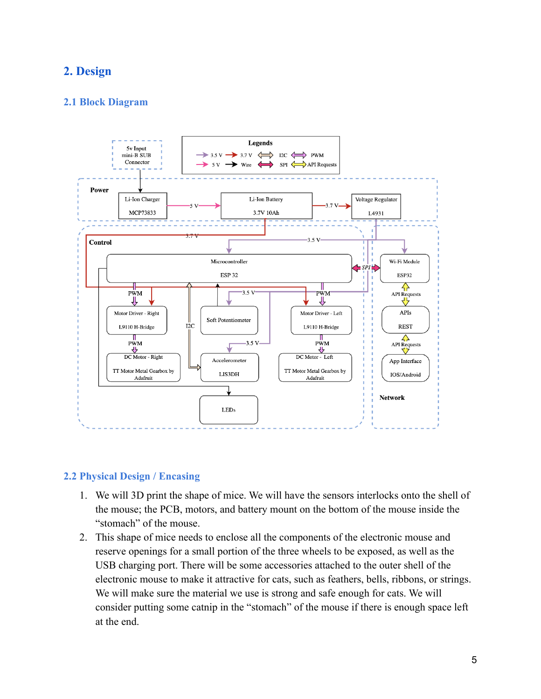# <span id="page-4-0"></span>**2. Design**

# <span id="page-4-1"></span>**2.1 Block Diagram**



## <span id="page-4-2"></span>**2.2 Physical Design / Encasing**

- 1. We will 3D print the shape of mice. We will have the sensors interlocks onto the shell of the mouse; the PCB, motors, and battery mount on the bottom of the mouse inside the "stomach" of the mouse.
- 2. This shape of mice needs to enclose all the components of the electronic mouse and reserve openings for a small portion of the three wheels to be exposed, as well as the USB charging port. There will be some accessories attached to the outer shell of the electronic mouse to make it attractive for cats, such as feathers, bells, ribbons, or strings. We will make sure the material we use is strong and safe enough for cats. We will consider putting some catnip in the "stomach" of the mouse if there is enough space left at the end.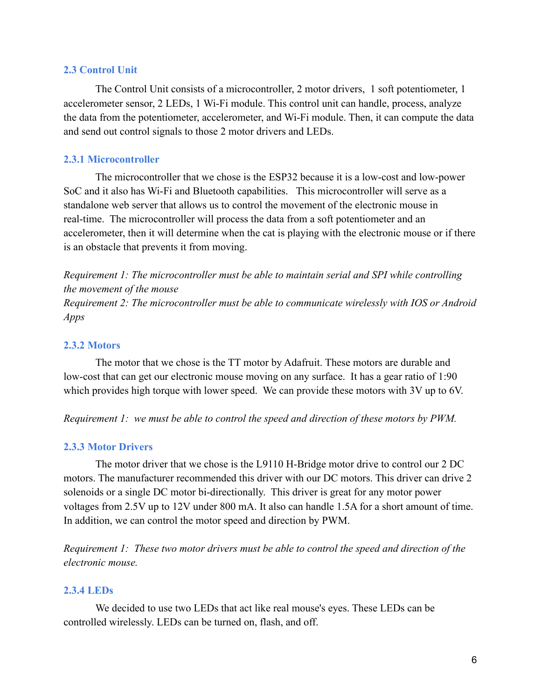#### <span id="page-5-0"></span>**2.3 Control Unit**

The Control Unit consists of a microcontroller, 2 motor drivers, 1 soft potentiometer, 1 accelerometer sensor, 2 LEDs, 1 Wi-Fi module. This control unit can handle, process, analyze the data from the potentiometer, accelerometer, and Wi-Fi module. Then, it can compute the data and send out control signals to those 2 motor drivers and LEDs.

## <span id="page-5-1"></span>**2.3.1 Microcontroller**

The microcontroller that we chose is the ESP32 because it is a low-cost and low-power SoC and it also has Wi-Fi and Bluetooth capabilities. This microcontroller will serve as a standalone web server that allows us to control the movement of the electronic mouse in real-time. The microcontroller will process the data from a soft potentiometer and an accelerometer, then it will determine when the cat is playing with the electronic mouse or if there is an obstacle that prevents it from moving.

*Requirement 1: The microcontroller must be able to maintain serial and SPI while controlling the movement of the mouse Requirement 2: The microcontroller must be able to communicate wirelessly with IOS or Android Apps*

# <span id="page-5-2"></span>**2.3.2 Motors**

The motor that we chose is the TT motor by Adafruit. These motors are durable and low-cost that can get our electronic mouse moving on any surface. It has a gear ratio of 1:90 which provides high torque with lower speed. We can provide these motors with 3V up to 6V.

<span id="page-5-3"></span>*Requirement 1: we must be able to control the speed and direction of these motors by PWM.*

## **2.3.3 Motor Drivers**

The motor driver that we chose is the L9110 H-Bridge motor drive to control our 2 DC motors. The manufacturer recommended this driver with our DC motors. This driver can drive 2 solenoids or a single DC motor bi-directionally. This driver is great for any motor power voltages from 2.5V up to 12V under 800 mA. It also can handle 1.5A for a short amount of time. In addition, we can control the motor speed and direction by PWM.

*Requirement 1: These two motor drivers must be able to control the speed and direction of the electronic mouse.*

## <span id="page-5-4"></span>**2.3.4 LEDs**

We decided to use two LEDs that act like real mouse's eyes. These LEDs can be controlled wirelessly. LEDs can be turned on, flash, and off.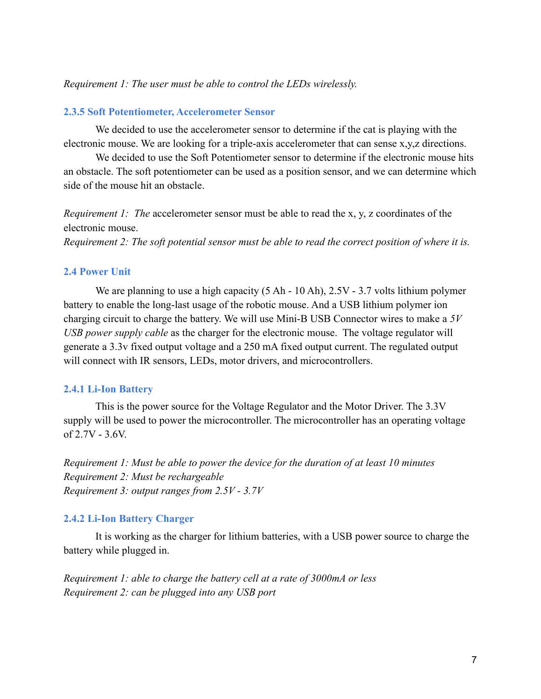#### <span id="page-6-0"></span>*Requirement 1: The user must be able to control the LEDs wirelessly.*

#### **2.3.5 Soft Potentiometer, Accelerometer Sensor**

We decided to use the accelerometer sensor to determine if the cat is playing with the electronic mouse. We are looking for a triple-axis accelerometer that can sense x,y,z directions.

We decided to use the Soft Potentiometer sensor to determine if the electronic mouse hits an obstacle. The soft potentiometer can be used as a position sensor, and we can determine which side of the mouse hit an obstacle.

*Requirement 1: The* accelerometer sensor must be able to read the x, y, z coordinates of the electronic mouse.

<span id="page-6-1"></span>*Requirement 2: The soft potential sensor must be able to read the correct position of where it is.*

#### **2.4 Power Unit**

We are planning to use a high capacity (5 Ah - 10 Ah), 2.5V - 3.7 volts lithium polymer battery to enable the long-last usage of the robotic mouse. And a USB lithium polymer ion charging circuit to charge the battery. We will use Mini-B USB Connector wires to make a *5V USB power supply cable* as the charger for the electronic mouse. The voltage regulator will generate a 3.3v fixed output voltage and a 250 mA fixed output current. The regulated output will connect with IR sensors, LEDs, motor drivers, and microcontrollers.

#### <span id="page-6-2"></span>**2.4.1 Li-Ion Battery**

This is the power source for the Voltage Regulator and the Motor Driver. The 3.3V supply will be used to power the microcontroller. The microcontroller has an operating voltage of 2.7V - 3.6V.

*Requirement 1: Must be able to power the device for the duration of at least 10 minutes Requirement 2: Must be rechargeable Requirement 3: output ranges from 2.5V - 3.7V*

#### <span id="page-6-3"></span>**2.4.2 Li-Ion Battery Charger**

It is working as the charger for lithium batteries, with a USB power source to charge the battery while plugged in.

*Requirement 1: able to charge the battery cell at a rate of 3000mA or less Requirement 2: can be plugged into any USB port*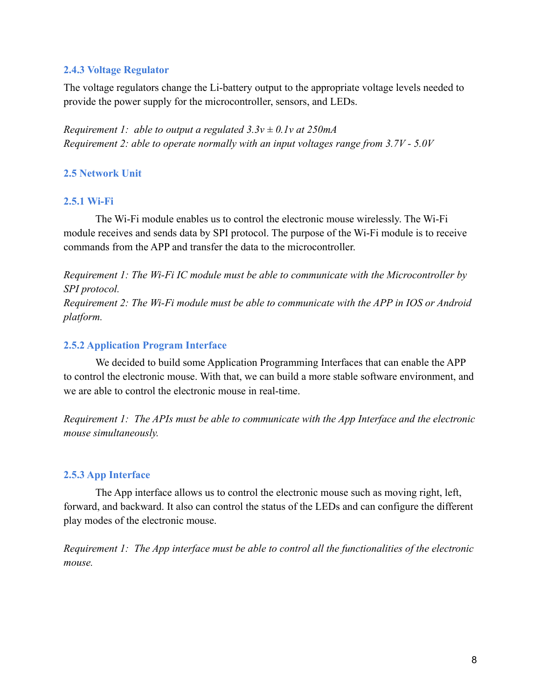# <span id="page-7-0"></span>**2.4.3 Voltage Regulator**

The voltage regulators change the Li-battery output to the appropriate voltage levels needed to provide the power supply for the microcontroller, sensors, and LEDs.

*Requirement 1: able to output a regulated 3.3v ± 0.1v at 250mA Requirement 2: able to operate normally with an input voltages range from 3.7V - 5.0V*

# <span id="page-7-1"></span>**2.5 Network Unit**

## <span id="page-7-2"></span>**2.5.1 Wi-Fi**

The Wi-Fi module enables us to control the electronic mouse wirelessly. The Wi-Fi module receives and sends data by SPI protocol. The purpose of the Wi-Fi module is to receive commands from the APP and transfer the data to the microcontroller.

*Requirement 1: The Wi-Fi IC module must be able to communicate with the Microcontroller by SPI protocol. Requirement 2: The Wi-Fi module must be able to communicate with the APP in IOS or Android platform.*

# <span id="page-7-3"></span>**2.5.2 Application Program Interface**

We decided to build some Application Programming Interfaces that can enable the APP to control the electronic mouse. With that, we can build a more stable software environment, and we are able to control the electronic mouse in real-time.

*Requirement 1: The APIs must be able to communicate with the App Interface and the electronic mouse simultaneously.*

# <span id="page-7-4"></span>**2.5.3 App Interface**

The App interface allows us to control the electronic mouse such as moving right, left, forward, and backward. It also can control the status of the LEDs and can configure the different play modes of the electronic mouse.

*Requirement 1: The App interface must be able to control all the functionalities of the electronic mouse.*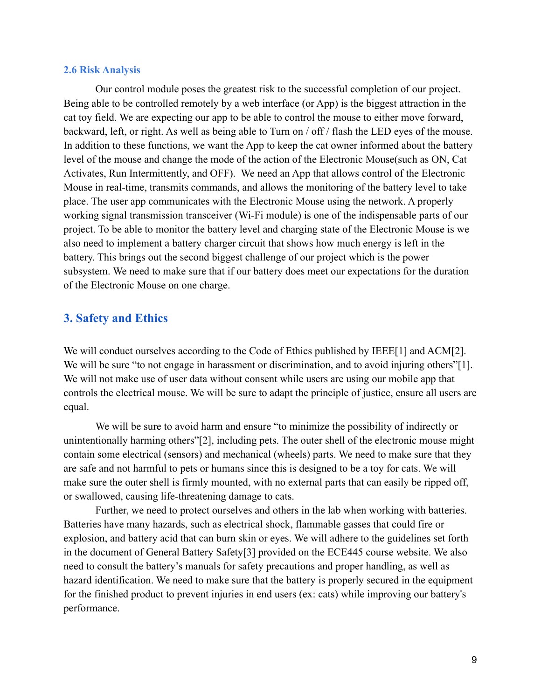#### <span id="page-8-0"></span>**2.6 Risk Analysis**

Our control module poses the greatest risk to the successful completion of our project. Being able to be controlled remotely by a web interface (or App) is the biggest attraction in the cat toy field. We are expecting our app to be able to control the mouse to either move forward, backward, left, or right. As well as being able to Turn on / off / flash the LED eyes of the mouse. In addition to these functions, we want the App to keep the cat owner informed about the battery level of the mouse and change the mode of the action of the Electronic Mouse(such as ON, Cat Activates, Run Intermittently, and OFF). We need an App that allows control of the Electronic Mouse in real-time, transmits commands, and allows the monitoring of the battery level to take place. The user app communicates with the Electronic Mouse using the network. A properly working signal transmission transceiver (Wi-Fi module) is one of the indispensable parts of our project. To be able to monitor the battery level and charging state of the Electronic Mouse is we also need to implement a battery charger circuit that shows how much energy is left in the battery. This brings out the second biggest challenge of our project which is the power subsystem. We need to make sure that if our battery does meet our expectations for the duration of the Electronic Mouse on one charge.

# <span id="page-8-1"></span>**3. Safety and Ethics**

We will conduct ourselves according to the Code of Ethics published by IEEE[1] and ACM[2]. We will be sure "to not engage in harassment or discrimination, and to avoid injuring others"[1]. We will not make use of user data without consent while users are using our mobile app that controls the electrical mouse. We will be sure to adapt the principle of justice, ensure all users are equal.

We will be sure to avoid harm and ensure "to minimize the possibility of indirectly or unintentionally harming others"[2], including pets. The outer shell of the electronic mouse might contain some electrical (sensors) and mechanical (wheels) parts. We need to make sure that they are safe and not harmful to pets or humans since this is designed to be a toy for cats. We will make sure the outer shell is firmly mounted, with no external parts that can easily be ripped off, or swallowed, causing life-threatening damage to cats.

Further, we need to protect ourselves and others in the lab when working with batteries. Batteries have many hazards, such as electrical shock, flammable gasses that could fire or explosion, and battery acid that can burn skin or eyes. We will adhere to the guidelines set forth in the document of General Battery Safety[3] provided on the ECE445 course website. We also need to consult the battery's manuals for safety precautions and proper handling, as well as hazard identification. We need to make sure that the battery is properly secured in the equipment for the finished product to prevent injuries in end users (ex: cats) while improving our battery's performance.